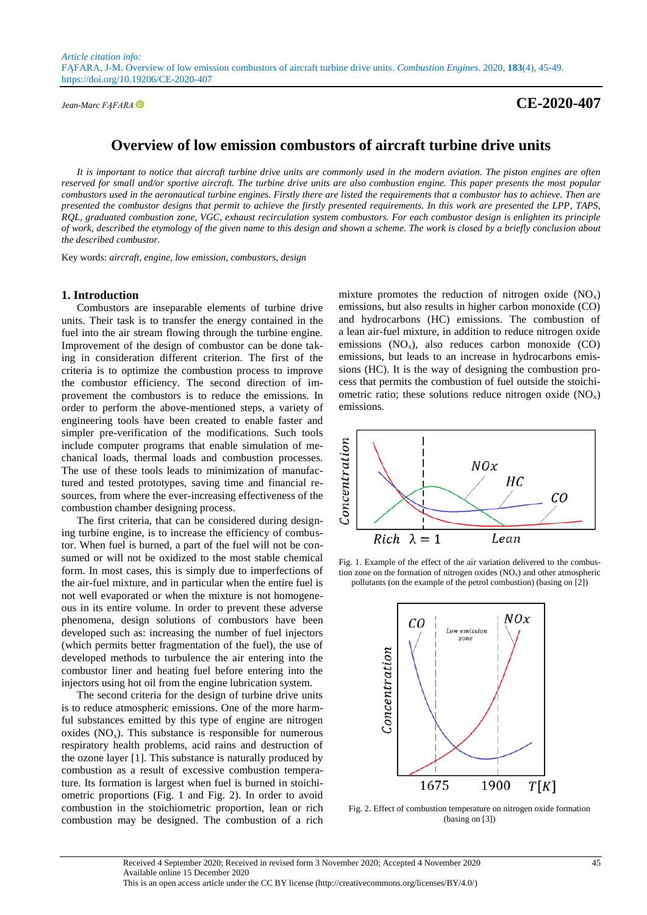# *Jean-Marc FĄFARA* **CE-2020-407**

# **Overview of low emission combustors of aircraft turbine drive units**

*It is important to notice that aircraft turbine drive units are commonly used in the modern aviation. The piston engines are often reserved for small and/or sportive aircraft. The turbine drive units are also combustion engine. This paper presents the most popular combustors used in the aeronautical turbine engines. Firstly there are listed the requirements that a combustor has to achieve. Then are presented the combustor designs that permit to achieve the firstly presented requirements. In this work are presented the LPP, TAPS, RQL, graduated combustion zone, VGC, exhaust recirculation system combustors. For each combustor design is enlighten its principle of work, described the etymology of the given name to this design and shown a scheme. The work is closed by a briefly conclusion about the described combustor.*

Key words: *aircraft, engine, low emission, combustors, design*

#### **1. Introduction**

Combustors are inseparable elements of turbine drive units. Their task is to transfer the energy contained in the fuel into the air stream flowing through the turbine engine. Improvement of the design of combustor can be done taking in consideration different criterion. The first of the criteria is to optimize the combustion process to improve the combustor efficiency. The second direction of improvement the combustors is to reduce the emissions. In order to perform the above-mentioned steps, a variety of engineering tools have been created to enable faster and simpler pre-verification of the modifications. Such tools include computer programs that enable simulation of mechanical loads, thermal loads and combustion processes. The use of these tools leads to minimization of manufactured and tested prototypes, saving time and financial resources, from where the ever-increasing effectiveness of the combustion chamber designing process.

The first criteria, that can be considered during designing turbine engine, is to increase the efficiency of combustor. When fuel is burned, a part of the fuel will not be consumed or will not be oxidized to the most stable chemical form. In most cases, this is simply due to imperfections of the air-fuel mixture, and in particular when the entire fuel is not well evaporated or when the mixture is not homogeneous in its entire volume. In order to prevent these adverse phenomena, design solutions of combustors have been developed such as: increasing the number of fuel injectors (which permits better fragmentation of the fuel), the use of developed methods to turbulence the air entering into the combustor liner and heating fuel before entering into the injectors using hot oil from the engine lubrication system.

The second criteria for the design of turbine drive units is to reduce atmospheric emissions. One of the more harmful substances emitted by this type of engine are nitrogen oxides  $(NO<sub>x</sub>)$ . This substance is responsible for numerous respiratory health problems, acid rains and destruction of the ozone layer [1]. This substance is naturally produced by combustion as a result of excessive combustion temperature. Its formation is largest when fuel is burned in stoichiometric proportions (Fig. 1 and Fig. 2). In order to avoid combustion in the stoichiometric proportion, lean or rich combustion may be designed. The combustion of a rich

mixture promotes the reduction of nitrogen oxide  $(NO<sub>x</sub>)$ emissions, but also results in higher carbon monoxide (CO) and hydrocarbons (HC) emissions. The combustion of a lean air-fuel mixture, in addition to reduce nitrogen oxide emissions  $(NO_x)$ , also reduces carbon monoxide  $(CO)$ emissions, but leads to an increase in hydrocarbons emissions (HC). It is the way of designing the combustion process that permits the combustion of fuel outside the stoichiometric ratio; these solutions reduce nitrogen oxide  $(NO_x)$ emissions.







Fig. 2. Effect of combustion temperature on nitrogen oxide formation (basing on [3])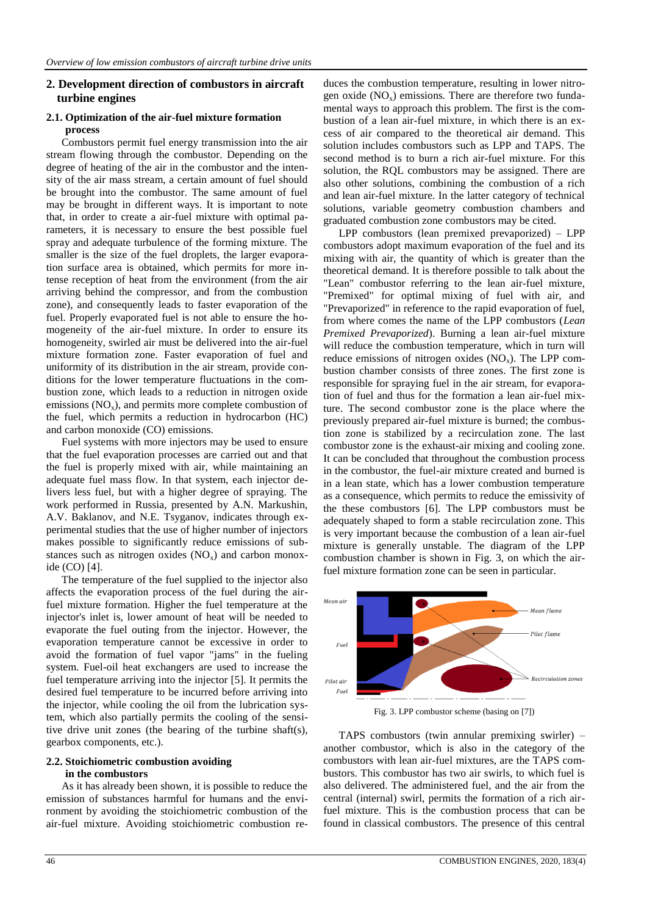## **2. Development direction of combustors in aircraft turbine engines**

#### **2.1. Optimization of the air-fuel mixture formation process**

Combustors permit fuel energy transmission into the air stream flowing through the combustor. Depending on the degree of heating of the air in the combustor and the intensity of the air mass stream, a certain amount of fuel should be brought into the combustor. The same amount of fuel may be brought in different ways. It is important to note that, in order to create a air-fuel mixture with optimal parameters, it is necessary to ensure the best possible fuel spray and adequate turbulence of the forming mixture. The smaller is the size of the fuel droplets, the larger evaporation surface area is obtained, which permits for more intense reception of heat from the environment (from the air arriving behind the compressor, and from the combustion zone), and consequently leads to faster evaporation of the fuel. Properly evaporated fuel is not able to ensure the homogeneity of the air-fuel mixture. In order to ensure its homogeneity, swirled air must be delivered into the air-fuel mixture formation zone. Faster evaporation of fuel and uniformity of its distribution in the air stream, provide conditions for the lower temperature fluctuations in the combustion zone, which leads to a reduction in nitrogen oxide emissions  $(NO_x)$ , and permits more complete combustion of the fuel, which permits a reduction in hydrocarbon (HC) and carbon monoxide (CO) emissions.

Fuel systems with more injectors may be used to ensure that the fuel evaporation processes are carried out and that the fuel is properly mixed with air, while maintaining an adequate fuel mass flow. In that system, each injector delivers less fuel, but with a higher degree of spraying. The work performed in Russia, presented by A.N. Markushin, A.V. Baklanov, and N.E. Tsyganov, indicates through experimental studies that the use of higher number of injectors makes possible to significantly reduce emissions of substances such as nitrogen oxides  $(NO<sub>x</sub>)$  and carbon monoxide (CO) [4].

The temperature of the fuel supplied to the injector also affects the evaporation process of the fuel during the airfuel mixture formation. Higher the fuel temperature at the injector's inlet is, lower amount of heat will be needed to evaporate the fuel outing from the injector. However, the evaporation temperature cannot be excessive in order to avoid the formation of fuel vapor "jams" in the fueling system. Fuel-oil heat exchangers are used to increase the fuel temperature arriving into the injector [5]. It permits the desired fuel temperature to be incurred before arriving into the injector, while cooling the oil from the lubrication system, which also partially permits the cooling of the sensitive drive unit zones (the bearing of the turbine shaft(s), gearbox components, etc.).

### **2.2. Stoichiometric combustion avoiding in the combustors**

As it has already been shown, it is possible to reduce the emission of substances harmful for humans and the environment by avoiding the stoichiometric combustion of the air-fuel mixture. Avoiding stoichiometric combustion reduces the combustion temperature, resulting in lower nitrogen oxide  $(NO<sub>x</sub>)$  emissions. There are therefore two fundamental ways to approach this problem. The first is the combustion of a lean air-fuel mixture, in which there is an excess of air compared to the theoretical air demand. This solution includes combustors such as LPP and TAPS. The second method is to burn a rich air-fuel mixture. For this solution, the RQL combustors may be assigned. There are also other solutions, combining the combustion of a rich and lean air-fuel mixture. In the latter category of technical solutions, variable geometry combustion chambers and graduated combustion zone combustors may be cited.

LPP combustors (lean premixed prevaporized) – LPP combustors adopt maximum evaporation of the fuel and its mixing with air, the quantity of which is greater than the theoretical demand. It is therefore possible to talk about the "Lean" combustor referring to the lean air-fuel mixture, "Premixed" for optimal mixing of fuel with air, and "Prevaporized" in reference to the rapid evaporation of fuel, from where comes the name of the LPP combustors (*Lean Premixed Prevaporized*). Burning a lean air-fuel mixture will reduce the combustion temperature, which in turn will reduce emissions of nitrogen oxides  $(NO<sub>x</sub>)$ . The LPP combustion chamber consists of three zones. The first zone is responsible for spraying fuel in the air stream, for evaporation of fuel and thus for the formation a lean air-fuel mixture. The second combustor zone is the place where the previously prepared air-fuel mixture is burned; the combustion zone is stabilized by a recirculation zone. The last combustor zone is the exhaust-air mixing and cooling zone. It can be concluded that throughout the combustion process in the combustor, the fuel-air mixture created and burned is in a lean state, which has a lower combustion temperature as a consequence, which permits to reduce the emissivity of the these combustors [6]. The LPP combustors must be adequately shaped to form a stable recirculation zone. This is very important because the combustion of a lean air-fuel mixture is generally unstable. The diagram of the LPP combustion chamber is shown in Fig. 3, on which the airfuel mixture formation zone can be seen in particular.



Fig. 3. LPP combustor scheme (basing on [7])

TAPS combustors (twin annular premixing swirler) – another combustor, which is also in the category of the combustors with lean air-fuel mixtures, are the TAPS combustors. This combustor has two air swirls, to which fuel is also delivered. The administered fuel, and the air from the central (internal) swirl, permits the formation of a rich airfuel mixture. This is the combustion process that can be found in classical combustors. The presence of this central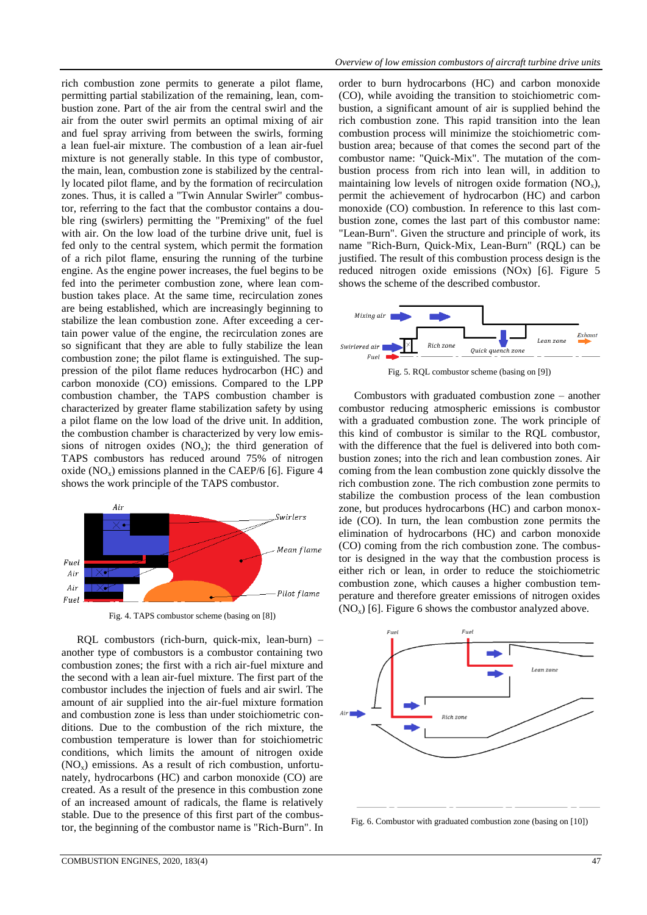rich combustion zone permits to generate a pilot flame, permitting partial stabilization of the remaining, lean, combustion zone. Part of the air from the central swirl and the air from the outer swirl permits an optimal mixing of air and fuel spray arriving from between the swirls, forming a lean fuel-air mixture. The combustion of a lean air-fuel mixture is not generally stable. In this type of combustor, the main, lean, combustion zone is stabilized by the centrally located pilot flame, and by the formation of recirculation zones. Thus, it is called a "Twin Annular Swirler" combustor, referring to the fact that the combustor contains a double ring (swirlers) permitting the "Premixing" of the fuel with air. On the low load of the turbine drive unit, fuel is fed only to the central system, which permit the formation of a rich pilot flame, ensuring the running of the turbine engine. As the engine power increases, the fuel begins to be fed into the perimeter combustion zone, where lean combustion takes place. At the same time, recirculation zones are being established, which are increasingly beginning to stabilize the lean combustion zone. After exceeding a certain power value of the engine, the recirculation zones are so significant that they are able to fully stabilize the lean combustion zone; the pilot flame is extinguished. The suppression of the pilot flame reduces hydrocarbon (HC) and carbon monoxide (CO) emissions. Compared to the LPP combustion chamber, the TAPS combustion chamber is characterized by greater flame stabilization safety by using a pilot flame on the low load of the drive unit. In addition, the combustion chamber is characterized by very low emissions of nitrogen oxides  $(NO<sub>x</sub>)$ ; the third generation of TAPS combustors has reduced around 75% of nitrogen oxide  $(NO<sub>x</sub>)$  emissions planned in the CAEP/6 [6]. Figure 4 shows the work principle of the TAPS combustor.



Fig. 4. TAPS combustor scheme (basing on [8])

RQL combustors (rich-burn, quick-mix, lean-burn) – another type of combustors is a combustor containing two combustion zones; the first with a rich air-fuel mixture and the second with a lean air-fuel mixture. The first part of the combustor includes the injection of fuels and air swirl. The amount of air supplied into the air-fuel mixture formation and combustion zone is less than under stoichiometric conditions. Due to the combustion of the rich mixture, the combustion temperature is lower than for stoichiometric conditions, which limits the amount of nitrogen oxide  $(NO<sub>x</sub>)$  emissions. As a result of rich combustion, unfortunately, hydrocarbons (HC) and carbon monoxide (CO) are created. As a result of the presence in this combustion zone of an increased amount of radicals, the flame is relatively stable. Due to the presence of this first part of the combustor, the beginning of the combustor name is "Rich-Burn". In order to burn hydrocarbons (HC) and carbon monoxide (CO), while avoiding the transition to stoichiometric combustion, a significant amount of air is supplied behind the rich combustion zone. This rapid transition into the lean combustion process will minimize the stoichiometric combustion area; because of that comes the second part of the combustor name: "Quick-Mix". The mutation of the combustion process from rich into lean will, in addition to maintaining low levels of nitrogen oxide formation  $(NO_x)$ , permit the achievement of hydrocarbon (HC) and carbon monoxide (CO) combustion. In reference to this last combustion zone, comes the last part of this combustor name: "Lean-Burn". Given the structure and principle of work, its name "Rich-Burn, Quick-Mix, Lean-Burn" (RQL) can be justified. The result of this combustion process design is the reduced nitrogen oxide emissions (NOx) [6]. Figure 5 shows the scheme of the described combustor.



Fig. 5. RQL combustor scheme (basing on [9])

Combustors with graduated combustion zone – another combustor reducing atmospheric emissions is combustor with a graduated combustion zone. The work principle of this kind of combustor is similar to the RQL combustor, with the difference that the fuel is delivered into both combustion zones; into the rich and lean combustion zones. Air coming from the lean combustion zone quickly dissolve the rich combustion zone. The rich combustion zone permits to stabilize the combustion process of the lean combustion zone, but produces hydrocarbons (HC) and carbon monoxide (CO). In turn, the lean combustion zone permits the elimination of hydrocarbons (HC) and carbon monoxide (CO) coming from the rich combustion zone. The combustor is designed in the way that the combustion process is either rich or lean, in order to reduce the stoichiometric combustion zone, which causes a higher combustion temperature and therefore greater emissions of nitrogen oxides  $(NO<sub>x</sub>)$  [6]. Figure 6 shows the combustor analyzed above.



Fig. 6. Combustor with graduated combustion zone (basing on [10])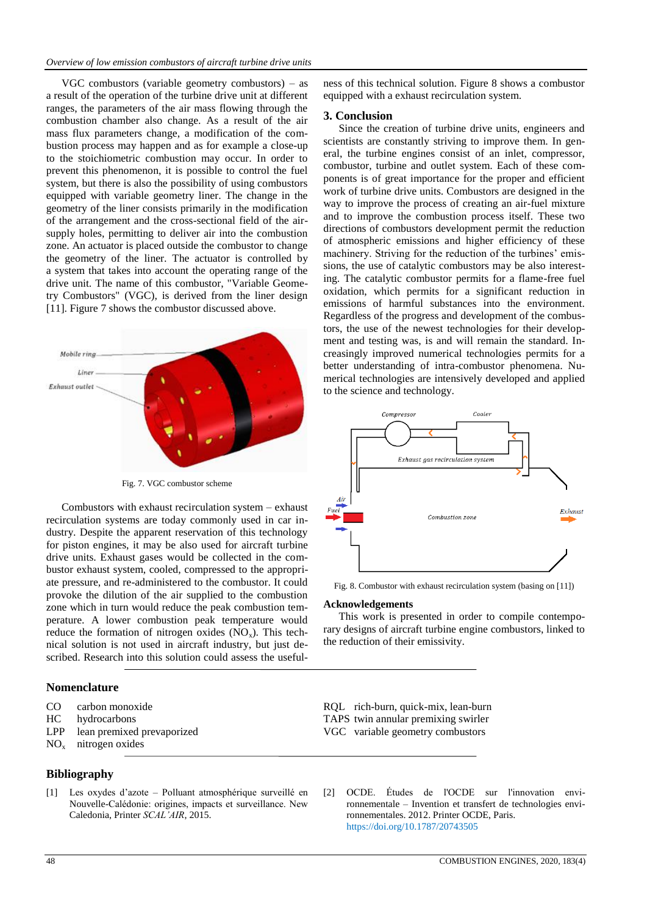### *Overview of low emission combustors of aircraft turbine drive units*

VGC combustors (variable geometry combustors) – as a result of the operation of the turbine drive unit at different ranges, the parameters of the air mass flowing through the combustion chamber also change. As a result of the air mass flux parameters change, a modification of the combustion process may happen and as for example a close-up to the stoichiometric combustion may occur. In order to prevent this phenomenon, it is possible to control the fuel system, but there is also the possibility of using combustors equipped with variable geometry liner. The change in the geometry of the liner consists primarily in the modification of the arrangement and the cross-sectional field of the airsupply holes, permitting to deliver air into the combustion zone. An actuator is placed outside the combustor to change the geometry of the liner. The actuator is controlled by a system that takes into account the operating range of the drive unit. The name of this combustor, "Variable Geometry Combustors" (VGC), is derived from the liner design [11]. Figure 7 shows the combustor discussed above.



Fig. 7. VGC combustor scheme

Combustors with exhaust recirculation system – exhaust recirculation systems are today commonly used in car industry. Despite the apparent reservation of this technology for piston engines, it may be also used for aircraft turbine drive units. Exhaust gases would be collected in the combustor exhaust system, cooled, compressed to the appropriate pressure, and re-administered to the combustor. It could provoke the dilution of the air supplied to the combustion zone which in turn would reduce the peak combustion temperature. A lower combustion peak temperature would reduce the formation of nitrogen oxides  $(NO<sub>x</sub>)$ . This technical solution is not used in aircraft industry, but just described. Research into this solution could assess the useful-

## **Nomenclature**

- CO carbon monoxide
- HC hydrocarbons
- LPP lean premixed prevaporized
- $NO<sub>x</sub>$  nitrogen oxides

### **Bibliography**

[1] Les oxydes d'azote – Polluant atmosphérique surveillé en Nouvelle-Calédonie: origines, impacts et surveillance. New Caledonia, Printer *SCAL'AIR*, 2015.

ness of this technical solution. Figure 8 shows a combustor equipped with a exhaust recirculation system.

### **3. Conclusion**

Since the creation of turbine drive units, engineers and scientists are constantly striving to improve them. In general, the turbine engines consist of an inlet, compressor, combustor, turbine and outlet system. Each of these components is of great importance for the proper and efficient work of turbine drive units. Combustors are designed in the way to improve the process of creating an air-fuel mixture and to improve the combustion process itself. These two directions of combustors development permit the reduction of atmospheric emissions and higher efficiency of these machinery. Striving for the reduction of the turbines' emissions, the use of catalytic combustors may be also interesting. The catalytic combustor permits for a flame-free fuel oxidation, which permits for a significant reduction in emissions of harmful substances into the environment. Regardless of the progress and development of the combustors, the use of the newest technologies for their development and testing was, is and will remain the standard. Increasingly improved numerical technologies permits for a better understanding of intra-combustor phenomena. Numerical technologies are intensively developed and applied to the science and technology.



Fig. 8. Combustor with exhaust recirculation system (basing on [11])

#### **Acknowledgements**

This work is presented in order to compile contemporary designs of aircraft turbine engine combustors, linked to the reduction of their emissivity.

RQL rich-burn, quick-mix, lean-burn TAPS twin annular premixing swirler VGC variable geometry combustors

[2] OCDE. Études de l'OCDE sur l'innovation environnementale – Invention et transfert de technologies environnementales. 2012. Printer OCDE, Paris. https://doi.org/10.1787/20743505